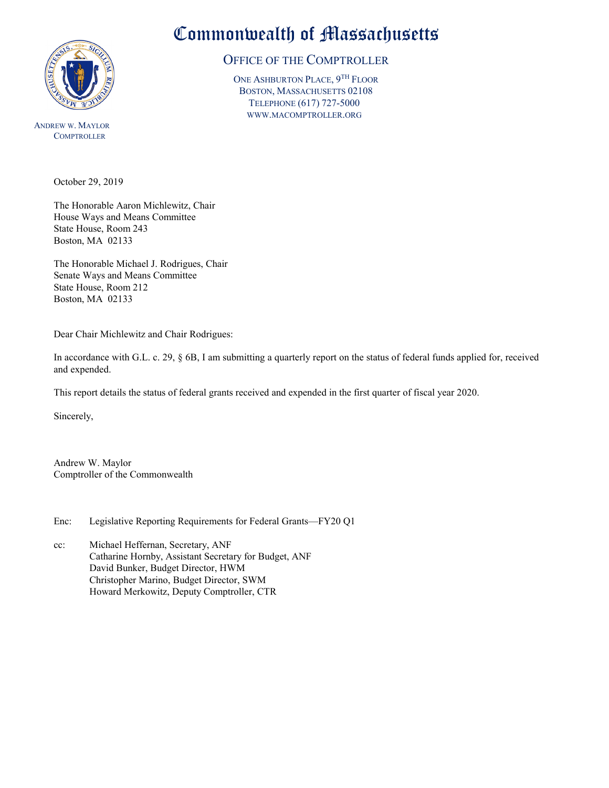

ANDREW W. MAYLOR **COMPTROLLER** 

## Commonwealth of Massachusetts

## OFFICE OF THE COMPTROLLER

ONE ASHBURTON PLACE, 9TH FLOOR BOSTON, MASSACHUSETTS 02108 TELEPHONE (617) 727-5000 WWW.MACOMPTROLLER.ORG

October 29, 2019

The Honorable Aaron Michlewitz, Chair House Ways and Means Committee State House, Room 243 Boston, MA 02133

The Honorable Michael J. Rodrigues, Chair Senate Ways and Means Committee State House, Room 212 Boston, MA 02133

Dear Chair Michlewitz and Chair Rodrigues:

In accordance with G.L. c. 29, § 6B, I am submitting a quarterly report on the status of federal funds applied for, received and expended.

This report details the status of federal grants received and expended in the first quarter of fiscal year 2020.

Sincerely,

Andrew W. Maylor Comptroller of the Commonwealth

Enc: Legislative Reporting Requirements for Federal Grants—FY20 Q1

cc: Michael Heffernan, Secretary, ANF Catharine Hornby, Assistant Secretary for Budget, ANF David Bunker, Budget Director, HWM Christopher Marino, Budget Director, SWM Howard Merkowitz, Deputy Comptroller, CTR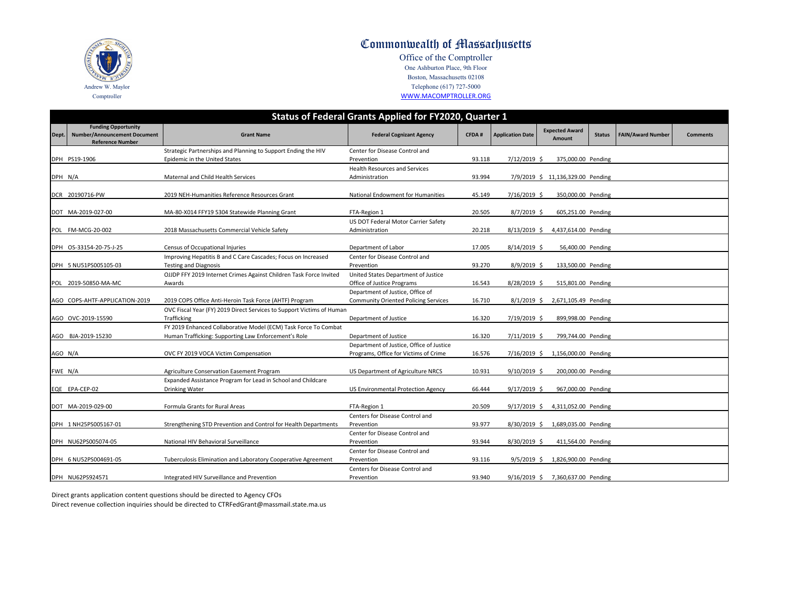|         | Status of Federal Grants Applied for FY2020, Quarter 1                                       |                                                                                       |                                              |              |                         |                                   |               |                          |                 |  |  |
|---------|----------------------------------------------------------------------------------------------|---------------------------------------------------------------------------------------|----------------------------------------------|--------------|-------------------------|-----------------------------------|---------------|--------------------------|-----------------|--|--|
| Dept.   | <b>Funding Opportunity</b><br><b>Number/Announcement Document</b><br><b>Reference Number</b> | <b>Grant Name</b>                                                                     | <b>Federal Cognizant Agency</b>              | <b>CFDA#</b> | <b>Application Date</b> | <b>Expected Award</b><br>Amount   | <b>Status</b> | <b>FAIN/Award Number</b> | <b>Comments</b> |  |  |
|         |                                                                                              | Strategic Partnerships and Planning to Support Ending the HIV                         | Center for Disease Control and               |              |                         |                                   |               |                          |                 |  |  |
|         | DPH PS19-1906                                                                                | Epidemic in the United States                                                         | Prevention                                   | 93.118       | 7/12/2019 \$            | 375,000.00 Pending                |               |                          |                 |  |  |
|         |                                                                                              |                                                                                       | <b>Health Resources and Services</b>         |              |                         |                                   |               |                          |                 |  |  |
| DPH N/A |                                                                                              | Maternal and Child Health Services                                                    | Administration                               | 93.994       |                         | 7/9/2019 \$ 11,136,329.00 Pending |               |                          |                 |  |  |
|         | DCR 20190716-PW                                                                              | 2019 NEH-Humanities Reference Resources Grant                                         | <b>National Endowment for Humanities</b>     | 45.149       | 7/16/2019 \$            | 350,000.00 Pending                |               |                          |                 |  |  |
|         | DOT MA-2019-027-00                                                                           | MA-80-X014 FFY19 5304 Statewide Planning Grant                                        | FTA-Region 1                                 | 20.505       | 8/7/2019 \$             | 605,251.00 Pending                |               |                          |                 |  |  |
|         |                                                                                              |                                                                                       | US DOT Federal Motor Carrier Safety          |              |                         |                                   |               |                          |                 |  |  |
|         | POL FM-MCG-20-002                                                                            | 2018 Massachusetts Commercial Vehicle Safety                                          | Administration                               | 20.218       | $8/13/2019$ \$          | 4,437,614.00 Pending              |               |                          |                 |  |  |
|         | DPH 0S-33154-20-75-J-25                                                                      | Census of Occupational Injuries                                                       | Department of Labor                          | 17.005       | 8/14/2019 \$            | 56,400.00 Pending                 |               |                          |                 |  |  |
|         |                                                                                              | Improving Hepatitis B and C Care Cascades; Focus on Increased                         | Center for Disease Control and               |              |                         |                                   |               |                          |                 |  |  |
|         | DPH 5 NU51PS005105-03                                                                        | <b>Testing and Diagnosis</b>                                                          | Prevention                                   | 93.270       | $8/9/2019$ \$           | 133,500.00 Pending                |               |                          |                 |  |  |
|         |                                                                                              | OJJDP FFY 2019 Internet Crimes Against Children Task Force Invited                    | United States Department of Justice          |              |                         |                                   |               |                          |                 |  |  |
|         | POL 2019-50850-MA-MC                                                                         | Awards                                                                                | Office of Justice Programs                   | 16.543       | 8/28/2019 \$            | 515,801.00 Pending                |               |                          |                 |  |  |
|         |                                                                                              |                                                                                       | Department of Justice, Office of             |              |                         |                                   |               |                          |                 |  |  |
|         | AGO COPS-AHTF-APPLICATION-2019                                                               | 2019 COPS Office Anti-Heroin Task Force (AHTF) Program                                | <b>Community Oriented Policing Services</b>  | 16.710       | $8/1/2019$ \$           | 2,671,105.49 Pending              |               |                          |                 |  |  |
|         |                                                                                              | OVC Fiscal Year (FY) 2019 Direct Services to Support Victims of Human                 |                                              |              |                         |                                   |               |                          |                 |  |  |
|         | AGO OVC-2019-15590                                                                           | Trafficking                                                                           | Department of Justice                        | 16.320       | 7/19/2019 \$            | 899,998.00 Pending                |               |                          |                 |  |  |
|         |                                                                                              | FY 2019 Enhanced Collaborative Model (ECM) Task Force To Combat                       |                                              |              |                         |                                   |               |                          |                 |  |  |
|         | AGO BJA-2019-15230                                                                           | Human Trafficking: Supporting Law Enforcement's Role                                  | Department of Justice                        | 16.320       | 7/11/2019 \$            | 799,744.00 Pending                |               |                          |                 |  |  |
|         |                                                                                              |                                                                                       | Department of Justice, Office of Justice     |              |                         |                                   |               |                          |                 |  |  |
| AGO N/A |                                                                                              | OVC FY 2019 VOCA Victim Compensation                                                  | Programs, Office for Victims of Crime        | 16.576       | 7/16/2019 \$            | 1,156,000.00 Pending              |               |                          |                 |  |  |
| FWE N/A |                                                                                              | Agriculture Conservation Easement Program                                             | US Department of Agriculture NRCS            | 10.931       | $9/10/2019$ \$          | 200,000.00 Pending                |               |                          |                 |  |  |
|         | EQE EPA-CEP-02                                                                               | Expanded Assistance Program for Lead in School and Childcare<br><b>Drinking Water</b> | US Environmental Protection Agency           | 66.444       | $9/17/2019$ \$          | 967,000.00 Pending                |               |                          |                 |  |  |
|         | DOT MA-2019-029-00                                                                           | Formula Grants for Rural Areas                                                        | FTA-Region 1                                 | 20.509       | $9/17/2019$ \$          | 4,311,052.00 Pending              |               |                          |                 |  |  |
|         |                                                                                              |                                                                                       | Centers for Disease Control and              |              |                         |                                   |               |                          |                 |  |  |
|         | DPH 1 NH25PS005167-01                                                                        | Strengthening STD Prevention and Control for Health Departments                       | Prevention                                   | 93.977       |                         | 8/30/2019 \$ 1,689,035.00 Pending |               |                          |                 |  |  |
|         |                                                                                              |                                                                                       | Center for Disease Control and               |              |                         |                                   |               |                          |                 |  |  |
|         | DPH NU62PS005074-05                                                                          | National HIV Behavioral Surveillance                                                  | Prevention                                   | 93.944       | 8/30/2019 \$            | 411,564.00 Pending                |               |                          |                 |  |  |
|         | DPH 6 NU52PS004691-05                                                                        | Tuberculosis Elimination and Laboratory Cooperative Agreement                         | Center for Disease Control and<br>Prevention | 93.116       | $9/5/2019$ \$           | 1,826,900.00 Pending              |               |                          |                 |  |  |
|         |                                                                                              |                                                                                       | Centers for Disease Control and              |              |                         |                                   |               |                          |                 |  |  |
|         | DPH NU62PS924571                                                                             | Integrated HIV Surveillance and Prevention                                            | Prevention                                   | 93.940       | $9/16/2019$ \$          | 7,360,637.00 Pending              |               |                          |                 |  |  |
|         |                                                                                              |                                                                                       |                                              |              |                         |                                   |               |                          |                 |  |  |

Direct grants application content questions should be directed to Agency CFOs Direct revenue collection inquiries should be directed to CTRFedGrant@massmail.state.ma.us



## Commonwealth of Massachusetts

Office of the Comptroller One Ashburton Place, 9th Floor Boston, Massachusetts 02108 Telephone (617) 727-5000 [W](http://www.macomptroller.org/)WW.MACOMPTROLLER.ORG